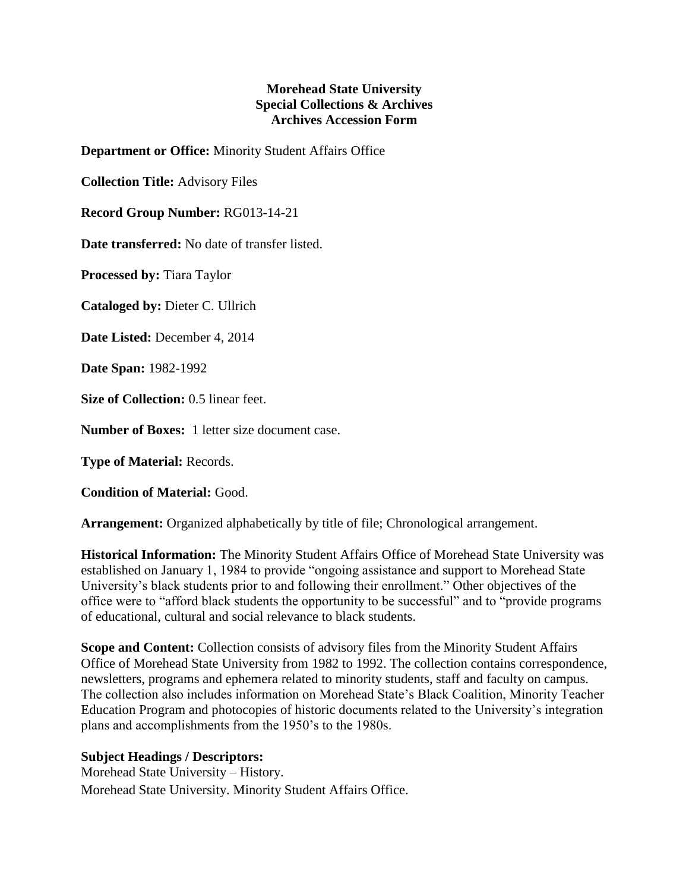## **Morehead State University Special Collections & Archives Archives Accession Form**

**Department or Office:** Minority Student Affairs Office

**Collection Title:** Advisory Files

**Record Group Number:** RG013-14-21

**Date transferred:** No date of transfer listed.

**Processed by:** Tiara Taylor

**Cataloged by:** Dieter C. Ullrich

**Date Listed:** December 4, 2014

**Date Span:** 1982-1992

**Size of Collection:** 0.5 linear feet.

**Number of Boxes:** 1 letter size document case.

**Type of Material:** Records.

**Condition of Material:** Good.

**Arrangement:** Organized alphabetically by title of file; Chronological arrangement.

**Historical Information:** The Minority Student Affairs Office of Morehead State University was established on January 1, 1984 to provide "ongoing assistance and support to Morehead State University's black students prior to and following their enrollment." Other objectives of the office were to "afford black students the opportunity to be successful" and to "provide programs of educational, cultural and social relevance to black students.

**Scope and Content:** Collection consists of advisory files from the Minority Student Affairs Office of Morehead State University from 1982 to 1992. The collection contains correspondence, newsletters, programs and ephemera related to minority students, staff and faculty on campus. The collection also includes information on Morehead State's Black Coalition, Minority Teacher Education Program and photocopies of historic documents related to the University's integration plans and accomplishments from the 1950's to the 1980s.

## **Subject Headings / Descriptors:**

Morehead State University – History. Morehead State University. Minority Student Affairs Office.